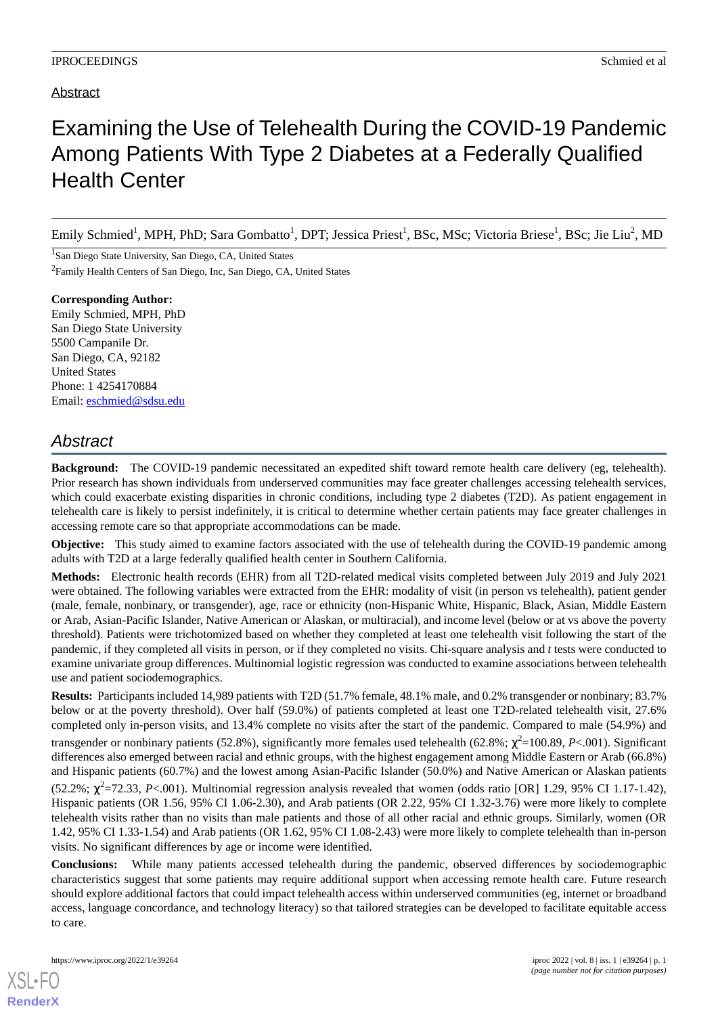## Examining the Use of Telehealth During the COVID-19 Pandemic Among Patients With Type 2 Diabetes at a Federally Qualified Health Center

Emily Schmied<sup>1</sup>, MPH, PhD; Sara Gombatto<sup>1</sup>, DPT; Jessica Priest<sup>1</sup>, BSc, MSc; Victoria Briese<sup>1</sup>, BSc; Jie Liu<sup>2</sup>, MD

<sup>1</sup>San Diego State University, San Diego, CA, United States

<sup>2</sup>Family Health Centers of San Diego, Inc, San Diego, CA, United States

**Corresponding Author:** Emily Schmied, MPH, PhD San Diego State University 5500 Campanile Dr. San Diego, CA, 92182 United States Phone: 1 4254170884 Email: [eschmied@sdsu.edu](mailto:eschmied@sdsu.edu)

## *Abstract*

**Background:** The COVID-19 pandemic necessitated an expedited shift toward remote health care delivery (eg, telehealth). Prior research has shown individuals from underserved communities may face greater challenges accessing telehealth services, which could exacerbate existing disparities in chronic conditions, including type 2 diabetes (T2D). As patient engagement in telehealth care is likely to persist indefinitely, it is critical to determine whether certain patients may face greater challenges in accessing remote care so that appropriate accommodations can be made.

**Objective:** This study aimed to examine factors associated with the use of telehealth during the COVID-19 pandemic among adults with T2D at a large federally qualified health center in Southern California.

**Methods:** Electronic health records (EHR) from all T2D-related medical visits completed between July 2019 and July 2021 were obtained. The following variables were extracted from the EHR: modality of visit (in person vs telehealth), patient gender (male, female, nonbinary, or transgender), age, race or ethnicity (non-Hispanic White, Hispanic, Black, Asian, Middle Eastern or Arab, Asian-Pacific Islander, Native American or Alaskan, or multiracial), and income level (below or at vs above the poverty threshold). Patients were trichotomized based on whether they completed at least one telehealth visit following the start of the pandemic, if they completed all visits in person, or if they completed no visits. Chi-square analysis and *t* tests were conducted to examine univariate group differences. Multinomial logistic regression was conducted to examine associations between telehealth use and patient sociodemographics.

**Results:** Participants included 14,989 patients with T2D (51.7% female, 48.1% male, and 0.2% transgender or nonbinary; 83.7% below or at the poverty threshold). Over half (59.0%) of patients completed at least one T2D-related telehealth visit, 27.6% completed only in-person visits, and 13.4% complete no visits after the start of the pandemic. Compared to male (54.9%) and transgender or nonbinary patients (52.8%), significantly more females used telehealth (62.8%; χ<sup>2</sup>=100.89, P<.001). Significant differences also emerged between racial and ethnic groups, with the highest engagement among Middle Eastern or Arab (66.8%) and Hispanic patients (60.7%) and the lowest among Asian-Pacific Islander (50.0%) and Native American or Alaskan patients  $(52.2\%; \chi^2=72.33, P<.001)$ . Multinomial regression analysis revealed that women (odds ratio [OR] 1.29, 95% CI 1.17-1.42), Hispanic patients (OR 1.56, 95% CI 1.06-2.30), and Arab patients (OR 2.22, 95% CI 1.32-3.76) were more likely to complete telehealth visits rather than no visits than male patients and those of all other racial and ethnic groups. Similarly, women (OR 1.42, 95% CI 1.33-1.54) and Arab patients (OR 1.62, 95% CI 1.08-2.43) were more likely to complete telehealth than in-person visits. No significant differences by age or income were identified.

**Conclusions:** While many patients accessed telehealth during the pandemic, observed differences by sociodemographic characteristics suggest that some patients may require additional support when accessing remote health care. Future research should explore additional factors that could impact telehealth access within underserved communities (eg, internet or broadband access, language concordance, and technology literacy) so that tailored strategies can be developed to facilitate equitable access to care.

[XSL](http://www.w3.org/Style/XSL)•FO **[RenderX](http://www.renderx.com/)**